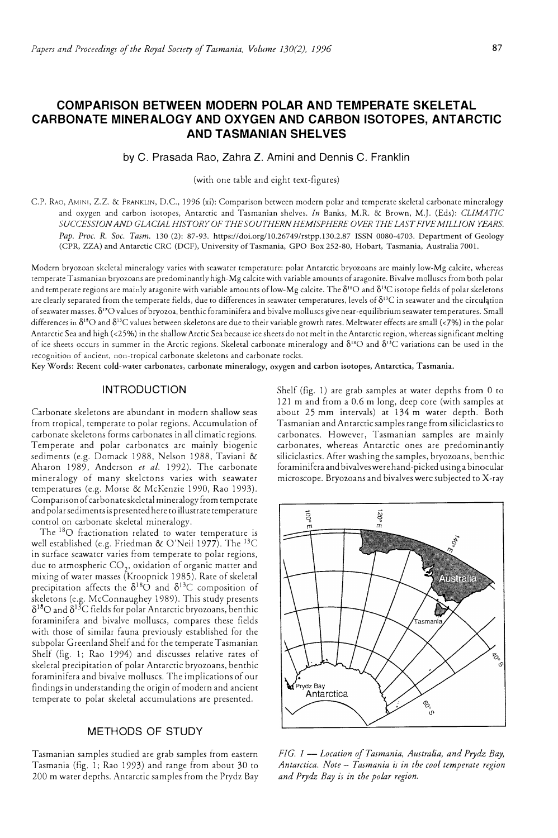# **COMPARISON BETWEEN MODERN POLAR AND TEMPERATE SKELETAL CARBONATE MINERALOGY AND OXYGEN AND CARBON ISOTOPES, ANTARCTIC AND TASMANIAN SHELVES**

## by C. Prasada Rao, Zahra Z. Amini and Dennis C. Franklin

(with one table and eight text-figures)

C.P. RAo, AMINI, Z.Z. & FRANKLIN, D.C., 1996 (xi): Comparison between modern polar and temperate skeletal carbonate mineralogy and oxygen and carbon isotopes, Antarctic and Tasmanian shelves. *In* Banks, M.R. & Brown, M.J. (Eds): *CLIMATIC SUCCESSION AND GLACIAL HISTORYOF THE SOUTHERN HEMISPHERE OVER THELAST FIVE MILLION YEARS. Pap. Proc. R. Soc. Tasm.* 130 (2): 87-93. https://doi.org/10.26749/rstpp.130.2.87 ISSN 0080-4703. Department of Geology (CPR, ZZA) and Antarctic CRC (DCF), University of Tasmania, GPO Box 252-80, Hobart, Tasmania, Australia 7001.

Modern bryozoan skeletal mineralogy varies with seawater temperature: polar Antarctic bryozoans are mainly low-Mg calcite, whereas temperate Tasmanian bryozoans are predominantly high-Mg calcite with variable amounts of aragonite. Bivalve molluscs from both polar and temperate regions are mainly aragonite with variable amounts of low-Mg calcite. The  $\delta^{_{18}\rm C}$  and  $\delta^{_{13}\rm C}$  isotope fields of polar skeletons are clearly separated from the temperate fields, due to differences in seawater temperatures, levels of  $\delta^{13}C$  in seawater and the circulation of seawater masses. 8 <sup>18</sup>0 values of bryozoa, benthic foraminifera and bivalve molluscs give near-equilibrium seawater temperatures. Small differences in 8<sup>18</sup>0 and 8 <sup>13</sup>C values between skeletons are due to their variable growth rates. Meltwater effects are small ( <7%) in the polar Antarctic Sea and high (<25%) in the shallow Arctic Sea because ice sheets do not melt in the Antarctic region, whereas significant melting of ice sheets occurs in summer in the Arctic regions. Skeletal carbonate mineralogy and  $\delta^{18}O$  and  $\delta^{13}C$  variations can be used in the recognition of ancient, non-tropical carbonate skeletons and carbonate rocks.

**Key Words: Recent cold-water carbonates, carbonate mineralogy, oxygen and carbon isotopes, Antarctica, Tasmania.** 

# **INTRODUCTION**

Carbonate skeletons are abundant in modern shallow seas from tropical, temperate to polar regions. Accumulation of carbonate skeletons forms carbonates in all climatic regions. Temperate and polar carbonates are mainly biogenic sediments (e.g. Domack 1988, Nelson 1988, Taviani & Aharon 1989, Anderson *et al.* 1992). The carbonate mineralogy of many skeletons varies with seawater temperatures (e.g. Morse & McKenzie 1990, Rao 1993). Comparison of carbonate skeletal mineralogy from temperate and polar sediments is presented here to illustrate temperature control on carbonate skeletal mineralogy.

The <sup>18</sup>O fractionation related to water temperature is well established (e.g. Friedman & O'Neil 1977). The 13C in surface seawater varies from temperate to polar regions, due to atmospheric  $\text{CO}_{2}$ , oxidation of organic matter and mixing of water masses (Kroopnick 1985). Rate of skeletal precipitation affects the  $\delta^{18}$ O and  $\delta^{13}$ C composition of skeletons (e.g. McConnaughey 1989). This study presents  $\delta^{18}$ O and  $\delta^{13}$ C fields for polar Antarctic bryozoans, benthic foraminifera and bivalve molluscs, compares these fields with chose of similar fauna previously established for the subpolar Greenland Shelf and for the temperate Tasmanian Shelf (fig. 1; Rao 1994) and discusses relative rates of skeletal precipitation of polar Antarctic bryozoans, benthic foraminifera and bivalve molluscs. The implications of our findings in understanding the origin of modern and ancient temperate to polar skeletal accumulations are presented.

# **METHODS OF STUDY**

Tasmanian samples studied are grab samples from eastern Tasmania (fig. 1; Rao 1993) and range from about 30 to 200 m water depths. Antarctic samples from the Prydz Bay Shelf (fig. 1) are grab samples at water depths from O to 121 m and from a 0.6 m long, deep core (with samples at about 25 mm intervals) at 134 m water depth. Both Tasmanian and Antarctic samples range from siliciclastics to carbonates. However, Tasmanian samples are mainly carbonates, whereas Antarctic ones are predominantly siliciclastics. After washing the samples, bryozoans, benthic foraminifera and bivalves were hand-picked using a binocular microscope. Bryozoans and bivalves were subjected to X-ray



*FIG. 1* - *Location of Tasmania, Australia, and Prydz Bay, Antarctica. Note* - *Tasmania is in the cool temperate region and Prydz Bay is in the polar region.*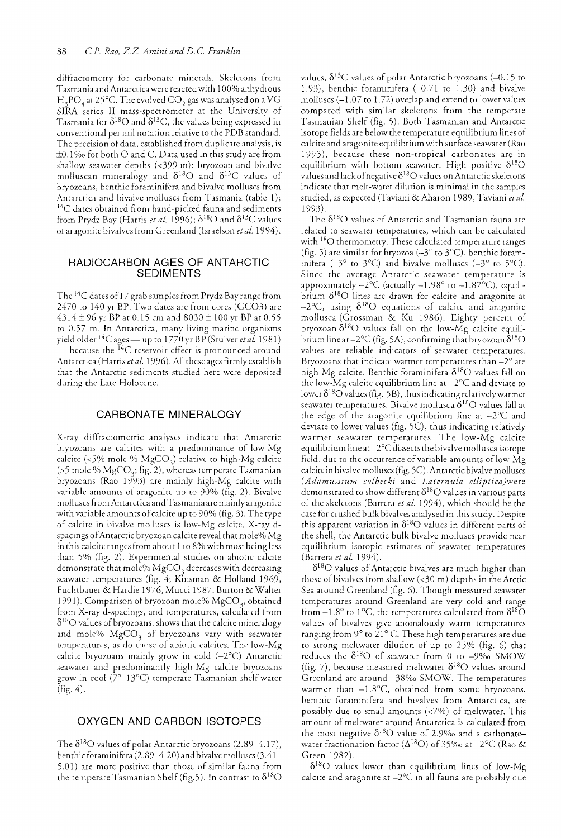diffractometry for carbonate minerals. Skeletons from Tasmania and Antarctica were reacted with 100% anhydrous  $H_3PO_4$  at 25°C. The evolved CO<sub>2</sub> gas was analysed on a VG SIRA series II mass-spectrometer at the University of Tasmania for  $\delta^{18}O$  and  $\delta^{13}C$ , the values being expressed in conventional per mil notation relative to the PDB standard. The precision of data, established from duplicate analysis, is  $\pm 0.1\%$  for both O and C. Data used in this study are from shallow seawater depths (<399 m): bryozoan and bivalve molluscan mineralogy and  $\delta^{18}O$  and  $\delta^{13}C$  values of bryozoans, benthic foraminifera and bivalve molluscs from Antarctica and bivalve molluscs from Tasmania (table 1); <sup>14</sup>C dates obtained from hand-picked fauna and sediments from Prydz Bay (Harris *et al.* 1996);  $\delta^{18}$ O and  $\delta^{13}$ C values of aragonite bivalves from Greenland (Israelson *et al* 1994).

### RADIOCARBON AGES OF ANTARCTIC SEDIMENTS

The 14C datesof17 grab samples from Prydz Bay range from 2470 to 140 yr BP. Two dates are from cores (GC03) are 4314 ± 96 yr BP at 0.15 cm and  $8030 \pm 100$  yr BP at 0.55 to 0.57 m. In Antarctica, many living marine organisms yield older <sup>14</sup>C ages — up to 1770 yr BP (Stuiver et al. 1981)  $-$  because the  $^{14}$ C reservoir effect is pronounced around Antarctica (Harris *et al.* 1996). All these ages firmly establish that the Antarctic sediments studied here were deposited during the Late Holocene.

### CARBONATE MINERALOGY

X-ray diffractometric analyses indicate that Antarctic bryozoans are calcites with a predominance of low-Mg calcite (<5% mole %  $MgCO<sub>3</sub>$ ) relative to high-Mg calcite (>5 mole %  $MgCO<sub>3</sub>$ ; fig. 2), whereas temperate Tasmanian bryozoans (Rao 1993) are mainly high-Mg calcite with variable amounts of aragonite up to 90% (fig. 2). Bivalve molluscs from Antarctica and Tasmania are mainly aragonite with variable amounts of calcite up to 90% (fig. 3). The type of calcite in bivalve molluscs is low-Mg calcite. X-ray dspacings of Antarctic bryozoan calcite reveal that mole% Mg in this calcite ranges from about 1 to 8% with most being less than 5% (fig. 2). Experimental studies on abiotic calcite demonstrate that mole%  $MgCO<sub>3</sub>$  decreases with decreasing seawater temperatures (fig. 4; KInsman & Holland 1969, Fuchtbauer & Hardie 1976, Mucci 1987, Burton & Walter 1991). Comparison of bryozoan mole%  $MgCO<sub>3</sub>$ , obtained from X-ray d-spacings, and temperatures, calculated from  $\delta^{18}$ O values of bryozoans, shows that the calcite mineralogy and mole%  $MgCO<sub>3</sub>$  of bryozoans vary with seawater temperatures, as do those of abiotic calcites. The low-Mg calcite bryozoans mainly grow in cold  $(-2^{\circ}C)$  Antarctic seawater and predominantly high-Mg calcite bryozoans grow in cool ( $7^{\circ}-13^{\circ}$ C) temperate Tasmanian shelf water (fig. 4).

## OXYGEN AND CARBON ISOTOPES

The  $\delta^{18}$ O values of polar Antarctic bryozoans (2.89–4.17), benthic foraminifera (2.89-4.20) and bivalve molluscs (3.41- 5.01) are more positive than those of similar fauna from the temperate Tasmanian Shelf (fig.5). In contrast to  $\delta^{18}O$  values,  $\delta^{13}$ C values of polar Antarctic bryozoans (-0.15 to 1.93), benthic foraminifera  $(-0.71$  to 1.30) and bivalve molluscs  $(-1.07 \text{ to } 1.72)$  overlap and extend to lower values compared with similar skeletons from the temperate Tasmanian Shelf (fig. 5). Both Tasmanian and Antarctic isotope fields are below the temperature equilibrium lines of calcite and aragonite equilibrium with surface seawater (Rao 1993), because these non-tropical carbonates are in equilibrium with bottom seawater. High positive  $\delta^{18}O$ values and lack of negative  $\delta^{18}O$  values on Antarctic skeletons indicate that melt-water dilution is minimal in the samples studied, as expected (Taviani & Aharon 1989, Taviani *et al.*  1993).

The  $\delta^{18} \mathrm{O}$  values of Antarctic and Tasmanian fauna are related to seawater temperatures, which can be calculated with <sup>18</sup>O thermometry. These calculated temperature ranges (fig. 5) are similar for bryozoa ( $-3^{\circ}$  to  $3^{\circ}$ C), benthic foraminifera ( $-3^{\circ}$  to  $3^{\circ}$ C) and bivalve molluscs ( $-3^{\circ}$  to  $5^{\circ}$ C). Since the average Antarctic seawater temperature is approximately  $-2^{\circ}C$  (actually  $-1.98^{\circ}$  to  $-1.87^{\circ}C$ ), equilibrium  $\delta^{18}O$  lines are drawn for calcite and aragonite at  $-2$ °C, using  $\delta^{18}O$  equations of calcite and aragonite mollusca (Grossman & Ku 1986). Eighty percent of bryozoan  $\delta^{18}O$  values fall on the low-Mg calcite equilibrium line at  $-2^{\circ}\text{C}$  (fig. 5A), confirming that bryozoan  $\hat{\delta}^{18}\text{O}$ values are reliable indicators of seawater temperatures. Bryozoans that indicate warmer temperatures than  $-2^{\circ}$  are high-Mg calcite. Benthic foraminifera  $\delta^{18}O$  values fall on the low-Mg calcite equilibrium line at  $-2$ °C and deviate to lower  $\delta^{18}$ O values (fig. 5B), thus indicating relatively warmer seawater temperatures. Bivalve mollusca  $\delta^{18}O$  values fall at the edge of the aragonite equilibrium line at  $-2$ °C and deviate to lower values (fig. 5C), thus indicating relatively warmer seawater temperatures. The low-Mg calcite equilibrium line at-2°C dissects the bivalve mollusca isotope field, due to the occurrence of variable amounts of low-Mg calcite in bivalve molluscs (fig. 5C). Antarctic bivalve molluscs *(Adamussium colbecki* and *Laternula elliptica)were*  demonstrated to show different  $\delta^{18}O$  values in various parts of the skeletons (Barrera *et al* 1994), which should be the case for crushed bulk bivalves analysed in this study. Despite this apparent variation in  $\delta^{18}O$  values in different parts of the shell, the Antarctic bulk bivalve molluscs provide near equilibrium isotopic estimates of seawater temperatures (Barrera *et al 1994).* 

 $\delta^{18}$ O values of Antarctic bivalves are much higher than those of bivalves from shallow (<30 m) depths in the Arctic Sea around Greenland (fig. 6). Though measured seawater temperatures around Greenland are very cold and range from  $-1.8^{\circ}$  to 1°C, the temperatures calculated from  $\delta^{18}O$ values of bivalves give anomalously warm temperatures ranging from 9° to 21° C. These high temperatures are due to strong meltwater dilution of up to 25% (fig. 6) that reduces the  $\delta^{18}O$  of seawater from 0 to -9%0 SMOW (fig. 7), because measured meltwater  $\delta^{18}O$  values around Greenland are around -38%0 SMOW. The temperatures warmer than  $-1.8$ °C, obtained from some bryozoans, benthic foraminifera and bivalves from Antarctica, are possibly due to small amounts  $\left\langle \langle 7\% \rangle \right\rangle$  of meltwater. This amount of meltwater around Antarctica is calculated from the most negative  $\delta^{18}O$  value of 2.9‰ and a carbonate– water fractionation factor ( $\Delta^{18}$ O) of 35‰ at -2°C (Rao & Green 1982).

 $\delta^{18}$ O values lower than equilibrium lines of low-Mg calcite and aragonite at  $-2^{\circ}C$  in all fauna are probably due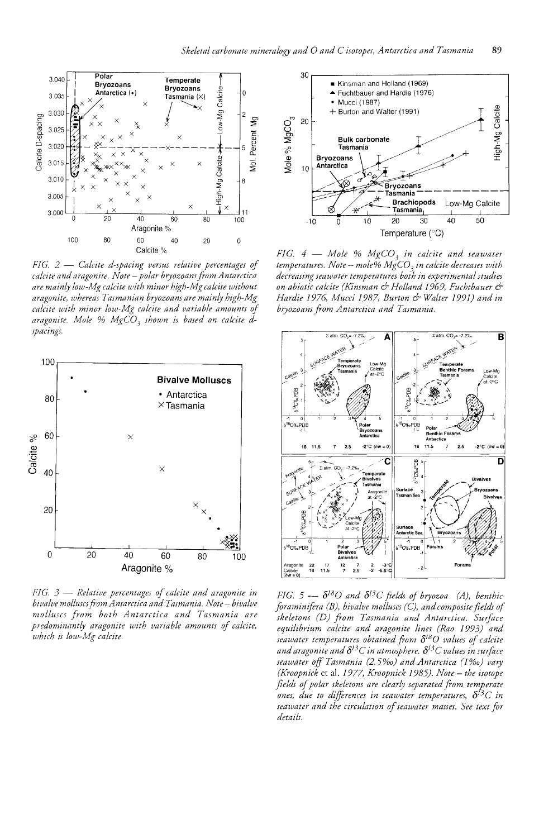

*FIG.* 2 – *Calcite d-spacing versus relative percentages of caLcite and aragonite. Note* - *poLar bryozoans /rom Antarctica are mainly low-Mg calcite with minor high-Mg calcite without aragonite, whereas Tasmanian bryozoans are mainly high-Mg calcite with minor low-Mg calcite and variable amounts of*  aragonite. Mole % MgCO<sub>3</sub> shown is based on calcite d*spacings.* 



fIG. 3 - *ReLative percentages of calcite and aragonite* In *bivalve molluscs /rom Antarctica and Tasmania. Note* - *bivaLve molluscs from both Antarctica and Tasmania are*  predominantly aragonite with variable amounts of calcite, *which is low-Mg calcite.* 



*FIG.*  $4 -$  *Mole %*  $MgCO<sub>3</sub>$  *in calcite and seawater temperatures. Note -- mole% MgCO<sub>3</sub> in calcite decreases with decreasing seawater temperatures both in experimental studies on abiotic calcite (Kinsman* & *Holland* 1969, *Fuchtbauer* & *Hardie* 1976, *Mucci* 1987, *Burton* & *Wfllter* 19\_91) *and in bryozoans /rom Antarctica and Tasmania.* 



*FIG.*  $5 - \delta^{18}O$  and  $\delta^{13}C$  fields of bryozoa (A), benthic *flraminiftra (B), bivalve molluscs (C), and composite fields of skeletons (D) /rom Tasmania and Antarctica. Surface equilibrium calcite and aragonite lines (Rao* 1993) *and seawater temperatures obtained /rom* 8180 *values of calcite and aragonite and 8*13*C in atmosphere. 8*13*C values in surfoce seawater off Tasmania (2.5%0) and Antarctica* (J *%0) vary (Kroopnick et al. 1977, Kroopnick 1985). Note - the isotope fields of polar skeletons are clearly separated /rom temperate ones, due to diffirences in seawater temperatures, 8*13*C in seawater and the circulation of seawater masses. See text for details.*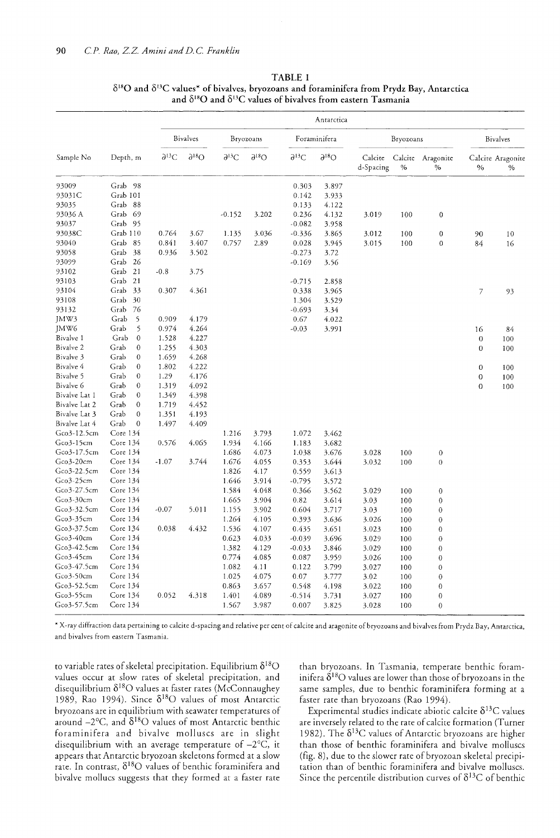|                      |                          | Antarctica       |                  |                  |                  |                           |                  |                      |      |                           |                  |                           |
|----------------------|--------------------------|------------------|------------------|------------------|------------------|---------------------------|------------------|----------------------|------|---------------------------|------------------|---------------------------|
|                      |                          |                  | <b>Bivalves</b>  |                  | Bryozoans        | Foraminifera<br>Bryozoans |                  | <b>Bivalves</b>      |      |                           |                  |                           |
| Sample No            | Depth, m                 | $\partial^{13}C$ | $\partial^{18}O$ | $\partial^{13}C$ | $\partial^{18}O$ | $\partial^{13}C$          | $\partial^{18}O$ | Calcite<br>d-Spacing | $\%$ | Calcite Aragonite<br>$\%$ | $\%$             | Calcite Aragonite<br>$\%$ |
| 93009                | Grab 98                  |                  |                  |                  |                  | 0.303                     | 3.897            |                      |      |                           |                  |                           |
| 93031C               | Grab 101                 |                  |                  |                  |                  | 0.142                     | 3.933            |                      |      |                           |                  |                           |
| 93035                | Grab<br>88               |                  |                  |                  |                  | 0.133                     | 4.122            |                      |      |                           |                  |                           |
| 93036 A              | Grab<br>69               |                  |                  | $-0.152$         | 3.202            | 0.236                     | 4.132            | 3.019                | 100  | 0                         |                  |                           |
| 93037                | Grab 95                  |                  |                  |                  |                  | $-0.082$                  | 3.958            |                      |      |                           |                  |                           |
| 93038C               | Grab 110                 | 0.764            | 3.67             | 1.135            | 3.036            | $-0.336$                  | 3.865            | 3.012                | 100  | $\boldsymbol{0}$          | 90               | 10                        |
| 93040                | Grab 85                  | 0.841            | 3.407            | 0.757            | 2.89             | 0.028                     | 3.945            | 3.015                | 100  | $\boldsymbol{0}$          | 84               | 16                        |
| 93058                | Grab<br>38               | 0.936            | 3.502            |                  |                  | $-0.273$                  | 3.72             |                      |      |                           |                  |                           |
| 93099                | Grab<br>-26              |                  |                  |                  |                  | $-0.169$                  | 3.56             |                      |      |                           |                  |                           |
| 93102                | Grab<br>21               | $-0.8$           | 3.75             |                  |                  |                           |                  |                      |      |                           |                  |                           |
| 93103                | 21<br>Grab               |                  |                  |                  |                  | $-0.715$                  | 2.858            |                      |      |                           |                  |                           |
| 93104                | Grab 33                  | 0.307            | 4.361            |                  |                  | 0.338                     | 3.965            |                      |      |                           | 7                | 93                        |
| 93108                | Grab<br>30               |                  |                  |                  |                  | 1.304                     | 3.529            |                      |      |                           |                  |                           |
| 93132                | Grab<br>76               |                  |                  |                  |                  | $-0.693$                  | 3.34             |                      |      |                           |                  |                           |
| JMW3                 | Grab<br>5                | 0.909            | 4.179            |                  |                  | 0.67                      | 4.022            |                      |      |                           |                  |                           |
| JMW <sub>6</sub>     | Grab<br>5                | 0.974            | 4.264            |                  |                  | $-0.03$                   | 3.991            |                      |      |                           | 16               | 84                        |
| Bivalve 1            | Grab<br>$\mathbf{0}$     | 1.528            | 4.227            |                  |                  |                           |                  |                      |      |                           | $\mathbf 0$      | 100                       |
| Bivalve <sub>2</sub> | Grab<br>$\mathbf{0}$     | 1.255            | 4.303            |                  |                  |                           |                  |                      |      |                           | $\overline{0}$   | 100                       |
| Bivalve 3            | Grab<br>$\mathbf{0}$     | 1.659            | 4.268            |                  |                  |                           |                  |                      |      |                           |                  |                           |
| Bivalve 4            | Grab<br>$\theta$         | 1.802            | 4.222            |                  |                  |                           |                  |                      |      |                           | $\boldsymbol{0}$ | 100                       |
| Bivalve 5            | $\mathbf{0}$<br>Grab     | 1.29             | 4.176            |                  |                  |                           |                  |                      |      |                           | $\boldsymbol{0}$ | 100                       |
| Bivalve 6            | Grab<br>$\mathbf{0}$     | 1.319            | 4.092            |                  |                  |                           |                  |                      |      |                           | $\overline{0}$   | 100                       |
| Bivalve Lat 1        | Grab<br>$\mathbf{0}$     | 1.349            | 4.398            |                  |                  |                           |                  |                      |      |                           |                  |                           |
| Bivalve Lat 2        | $\boldsymbol{0}$<br>Grab | 1.719            | 4.452            |                  |                  |                           |                  |                      |      |                           |                  |                           |
| Bivalve Lat 3        | Grab<br>$\bf{0}$         | 1.351            | 4.193            |                  |                  |                           |                  |                      |      |                           |                  |                           |
| Bivalve Lat 4        | Grab<br>$\mathbf 0$      | 1.497            | 4.409            |                  |                  |                           |                  |                      |      |                           |                  |                           |
| Gco3-12.5cm          | Core 134                 |                  |                  | 1.216            | 3.793            | 1.072                     | 3.462            |                      |      |                           |                  |                           |
| Gco3-15cm            | Core 134                 | 0.576            | 4.065            | 1.934            | 4.166            | 1.183                     | 3.682            |                      |      |                           |                  |                           |
| Gco3-17.5cm          | Core 134                 |                  |                  | 1.686            | 4.073            | 1.038                     | 3.676            | 3.028                | 100  | $\theta$                  |                  |                           |
| Gco3-20cm            | Core 134                 | $-1.07$          | 3.744            | 1.676            | 4.055            | 0.353                     | 3.644            | 3.032                | 100  | $\mathbf{0}$              |                  |                           |
| Gco3-22.5cm          | Core 134                 |                  |                  | 1.826            | 4.17             | 0.559                     | 3.613            |                      |      |                           |                  |                           |
| Gco3-25cm            | Core 134                 |                  |                  | 1.646            | 3.914            | $-0.795$                  | 3.572            |                      |      |                           |                  |                           |
| Gco3-27.5cm          | Core 134                 |                  |                  | 1.584            | 4.048            | 0.366                     | 3.562            | 3.029                | 100  | $\bf{0}$                  |                  |                           |
| Gco3-30cm            | Core 134                 |                  |                  | 1.665            | 3.904            | 0.82                      | 3.614            | 3.03                 | 100  | $\bf{0}$                  |                  |                           |
| Gco3-32.5cm          | Core 134                 | $-0.07$          | 5.011            | 1.155            | 3.902            | 0.604                     | 3.717            | 3.03                 | 100  | $\mathbf{0}$              |                  |                           |
| Gco3-35cm            | Core 134                 |                  |                  | 1.264            | 4.105            | 0.393                     | 3.636            | 3.026                | 100  | $\mathbf 0$               |                  |                           |
| Gco3-37.5cm          | Core 134                 | 0.038            | 4.432            | 1.536            | 4.107            | 0.435                     | 3.651            | 3.023                | 100  | $\boldsymbol{0}$          |                  |                           |
| Gco3-40cm            | Core 134                 |                  |                  | 0.623            | 4.033            | $-0.039$                  | 3.696            | 3.029                | 100  | $\mathbf{0}$              |                  |                           |
| Gco3-42.5cm          | Core 134                 |                  |                  | 1.382            | 4.129            | $-0.033$                  | 3.846            | 3.029                | 100  | $\boldsymbol{0}$          |                  |                           |
| Gco3-45cm            | Core 134                 |                  |                  | 0.774            | 4.085            | 0.087                     | 3.959            | 3.026                | 100  | $\bf{0}$                  |                  |                           |
| Gco3-47.5cm          | Core 134                 |                  |                  | 1.082            | 4.11             | 0.122                     | 3.799            | 3.027                | 100  | $\mathbf{0}$              |                  |                           |
| Gco3-50cm            | Core 134                 |                  |                  | 1.025            | 4.075            | 0.07                      | 3.777            | 3.02                 | 100  | $\mathbf{0}$              |                  |                           |
| Gco3-52.5cm          | Core 134                 |                  |                  | 0.863            | 3.657            | 0.548                     | 4.198            | 3.022                | 100  | $\boldsymbol{0}$          |                  |                           |
| Gco3-55cm            | Core 134                 | 0.052            | 4.318            | 1.401            | 4.089            | $-0.514$                  |                  |                      |      | $\mathbf{0}$              |                  |                           |
| Gco3-57.5cm          | Core 134                 |                  |                  | 1.567            | 3.987            | 0.007                     | 3.731            | 3.027                | 100  | $\overline{0}$            |                  |                           |
|                      |                          |                  |                  |                  |                  |                           | 3.825            | 3.028                | 100  |                           |                  |                           |

TABLE 1  $\delta^{18}$ O and  $\delta^{13}$ C values\* of bivalves, bryozoans and foraminifera from Prydz Bay, Antarctica and  $\delta^{18}O$  and  $\delta^{13}C$  values of bivalves from eastern Tasmania

\* X-ray diffraction data pertaining to calcite d-spacing and relative per cent of calcite and aragonite of bryozoans and bivalves from Prydz Bay, Antarctica, and bivalves from eastern Tasmania.

to variable rates of skeletal precipitation. Equilibrium  $\delta^{18}O$  than bryozoans. In Tasmania, temperate benthic foramvalues occur at slow rates of skeletal precipitation, and inifera  $\delta^{18}O$  values are lower than those of bryozoans in the disequilibrium  $\delta^{18}O$  values at faster rates (McConnaughey same samples, due to benthic foraminifera forming at a 1989, Rao 1994). Since  $\delta^{18}O$  values of most Antarctic faster rate than bryozoans (Rao 1994). bryozoans are in equilibrium with seawater temperatures of Experimental studies indicate abiotic calcite  $\delta^{13}C$  values around  $-2^{\circ}$ C, and  $\delta^{18}$ O values of most Antarctic benthic are inversely related to the rate of calcite formation (Turner foraminifera and bivalve molluscs are in slight 1982). The  $\delta^{13}C$  values of Antarctic bryozoans are higher disequilibrium with an average temperature of  $-2^{\circ}C$ , it than those of benthic foraminifera and bivalve molluscs appears that Antarctic bryozoan skeletons formed at a slow (fig. 8), due to the slower rate of bryozoan skeletal precipirate. In contrast,  $\delta^{18}O$  values of benthic foraminifera and tation than of benthic foraminifera and bivalve molluscs.

bivalve mollucs suggests that they formed at a faster rate Since the percentile distribution curves of  $\delta^{13}C$  of benthic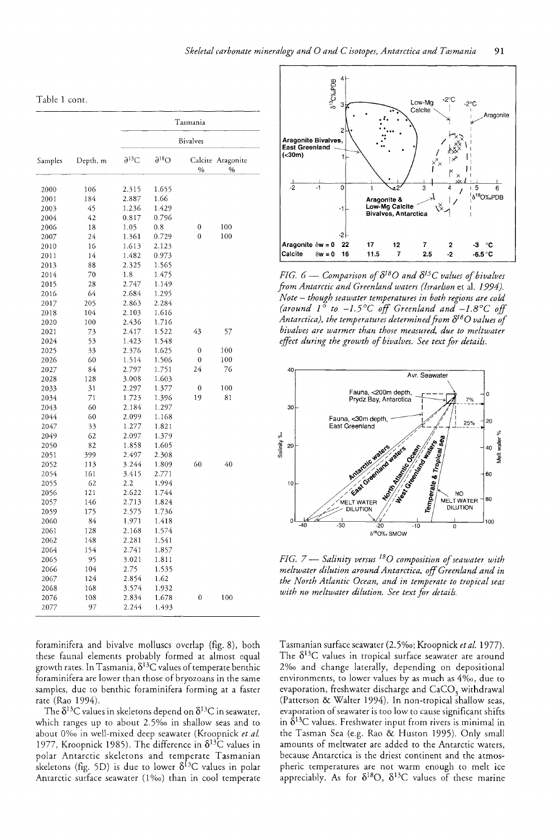| Table 1 cont. |  |  |
|---------------|--|--|
|---------------|--|--|

|         |          | Tasmania                |                  |                |                           |  |  |  |  |
|---------|----------|-------------------------|------------------|----------------|---------------------------|--|--|--|--|
|         |          | <b>Bivalves</b>         |                  |                |                           |  |  |  |  |
| Samples | Depth, m | $\partial^{13}\text{C}$ | $\partial^{18}O$ | $\%$           | Calcite Aragonite<br>$\%$ |  |  |  |  |
| 2000    | 106      | 2.315                   | 1.655            |                |                           |  |  |  |  |
| 2001    | 184      | 2.887                   | 1.66             |                |                           |  |  |  |  |
| 2003    | 45       | 1.236                   | 1.429            |                |                           |  |  |  |  |
| 2004    | 42       | 0.817                   | 0.796            |                |                           |  |  |  |  |
| 2006    | 18       | 1.05                    | 0.8              | 0              | 100                       |  |  |  |  |
| 2007    | 24       | 1.361                   | 0.729            | $\theta$       | 100                       |  |  |  |  |
| 2010    | 16       | 1.613                   | 2.123            |                |                           |  |  |  |  |
| 2011    | 14       | 1.482                   | 0.973            |                |                           |  |  |  |  |
| 2013    | 88       | 2.325                   | 1.565            |                |                           |  |  |  |  |
| 2014    | 70       | 1.8                     | 1.475            |                |                           |  |  |  |  |
| 2015    | 28       | 2.747                   | 1.149            |                |                           |  |  |  |  |
| 2016    | 64       | 2.684                   | 1.295            |                |                           |  |  |  |  |
|         |          | 2.863                   | 2.284            |                |                           |  |  |  |  |
| 2017    | 205      |                         |                  |                |                           |  |  |  |  |
| 2018    | 104      | 2.103                   | 1.616            |                |                           |  |  |  |  |
| 2020    | 100      | 2.436                   | 1.716            |                |                           |  |  |  |  |
| 2021    | 73       | 2.417                   | 1.522            | 43             | 57                        |  |  |  |  |
| 2024    | 53       | 1.423                   | 1.548            |                |                           |  |  |  |  |
| 2025    | 33       | 2.376                   | 1.625            | $\theta$       | 100                       |  |  |  |  |
| 2026    | 60       | 1.514                   | 1.506            | $\overline{0}$ | 100                       |  |  |  |  |
| 2027    | 84       | 2.797                   | 1.751            | 24             | 76                        |  |  |  |  |
| 2028    | 128      | 3.008                   | 1.603            |                |                           |  |  |  |  |
| 2033    | 31       | 2.297                   | 1.377            | 0              | 100                       |  |  |  |  |
| 2034    | 71       | 1.723                   | 1.396            | 19             | 81                        |  |  |  |  |
| 2043    | 60       | 2.184                   | 1.297            |                |                           |  |  |  |  |
| 2044    | 60       | 2.099                   | 1.168            |                |                           |  |  |  |  |
| 2047    | 33       | 1.277                   | 1.821            |                |                           |  |  |  |  |
| 2049    | 62       | 2.097                   | 1.379            |                |                           |  |  |  |  |
| 2050    | 82       | 1.858                   | 1.605            |                |                           |  |  |  |  |
| 2051    | 399      | 2.497                   | 2.308            |                |                           |  |  |  |  |
| 2052    | 113      | 3.244                   | 1.809            | 60             | 40                        |  |  |  |  |
| 2054    | 161      | 3.415                   | 2.771            |                |                           |  |  |  |  |
| 2055    | 62       | 2.2                     | 1.994            |                |                           |  |  |  |  |
| 2056    | 121      | 2.622                   | 1.744            |                |                           |  |  |  |  |
| 2057    | 146      | 2.713                   | 1.824            |                |                           |  |  |  |  |
| 2059    | 175      | 2.575                   | 1.736            |                |                           |  |  |  |  |
| 2060    | 84       | 1.971                   | 1.418            |                |                           |  |  |  |  |
| 2061    | 128      | 2.168                   | 1.574            |                |                           |  |  |  |  |
| 2062    | 148      | 2.281                   | 1.541            |                |                           |  |  |  |  |
| 2064    | 154      | 2.741                   | 1.857            |                |                           |  |  |  |  |
| 2065    | 95       | 3.021                   | 1.811            |                |                           |  |  |  |  |
| 2066    | 104      | 2.75                    | 1.535            |                |                           |  |  |  |  |
| 2067    | 124      | 2.854                   | 1.62             |                |                           |  |  |  |  |
| 2068    | 168      | 3.574                   | 1.932            |                |                           |  |  |  |  |
| 2076    | 108      | 2.834                   | 1.678            | 0              | 100                       |  |  |  |  |
| 2077    | 97       | 2.244                   | 1.493            |                |                           |  |  |  |  |



*FIG.*  $6 -$  *Comparison of*  $\delta^{18}O$  *and*  $\delta^{13}C$  *values of bivalves from Antarctic and Greenland waters (Israelson et al. 1994). Note* - *though seawater temperatures in both regions are cold*  (around  $1^{\circ}$  to  $-1.5^{\circ}$ C off Greenland and  $-1.8^{\circ}$ C off *Antarctica), the temperatures determined from* 8180 *values of bivalves are warmer than those measured, due to meltwater effect during the growth of bivalves. See text for details.* 



*FIG.* 7 -- *Salinity versus* <sup>18</sup> <sup>0</sup>*composition of seawater with meltwater dilution around Antarctica, off Greenland and in the North Atlantic Ocean, and in temperate to tropical seas with no meltwater dilution. See text for details.* 

foraminifera and bivalve molluscs overlap (fig. 8), both these faunal elements probably formed at almost equal growth rates. In Tasmania,  $\delta^{13}C$  values of temperate benthic foraminifera are lower than those of bryozoans in the same samples, due to benthic foraminifera forming at a faster rate (Rao 1994).

The  $\delta^{13}$ C values in skeletons depend on  $\delta^{13}$ C in seawater, which ranges up to about 2.5% in shallow seas and to about 0%0 in well-mixed deep seawater (Kroopnick *et al.*  1977, Kroopnick 1985). The difference in  $\delta^{13}$ C values in polar Antarctic skeletons and temperate Tasmanian skeletons (fig. 5D) is due to lower  $\delta^{13}C$  values in polar Antarctic surface seawater (1‰) than in cool temperate Tasmanian surface seawater (2.5%0; Kroopnick *et at.* 1977). The  $\delta^{13}$ C values in tropical surface seawater are around 2%0 and change laterally, depending on depositional environments, to lower values by as much as 4‰, due to evaporation, freshwater discharge and CaCO<sub>3</sub> withdrawal (Patterson & Walter 1994). In non-tropical shallow seas, evaporation of seawater is too low to cause significant shifts in  $\delta^{13}$ C values. Freshwater input from rivers is minimal in the Tasman Sea (e.g. Rao & Huston 1995). Only small amounts of meltwater are added to the Antarctic waters, because Antarctica is the driest continent and the atmospheric temperatures are not warm enough to melt ice appreciably. As for  $\delta^{18}O$ ,  $\delta^{13}C$  values of these marine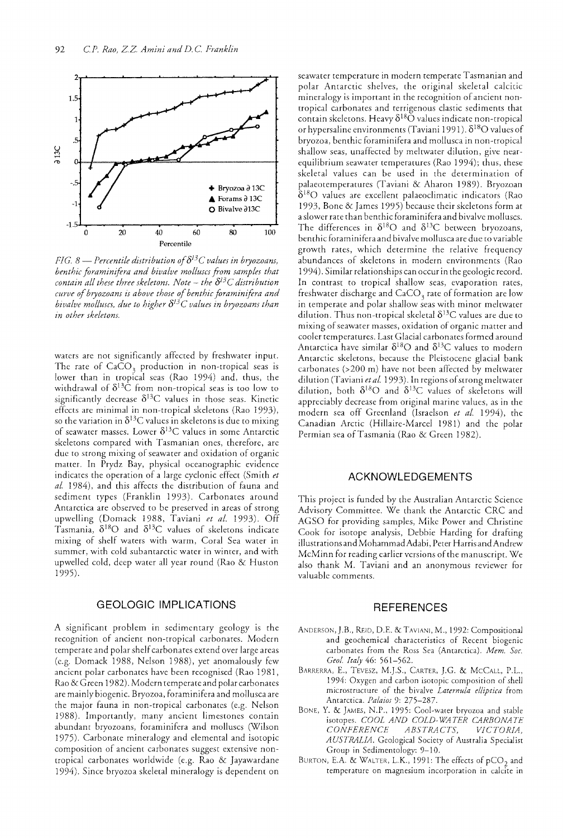

*FIG.* 8 — *Percentile distribution of*  $\delta^{13}$ *C values in bryozoans, benthic foraminifera and biuaive molluscs foom samples that contain all these three skeletons. Note – the*  $\delta^{13}C$  *distribution curue of bryozoans is above those of benthic foraminifera and bivalve molluscs, due to higher*  $\delta^{13}C$  *values in bryozoans than in other skeletons.* 

waters are not significantly affected by freshwater input. The rate of  $CaCO<sub>3</sub>$  production in non-tropical seas is lower than in tropical seas (Rao 1994) and, thus, the withdrawal of  $\delta^{13}\hat{C}$  from non-tropical seas is too low to significantly decrease  $\delta^{13}C$  values in those seas. Kinetic effects are minimal in non-tropical skeletons (Rao 1993), so the variation in  $\delta^{13}C$  values in skeletons is due to mixing of seawater masses. Lower  $\delta^{13}$ C values in some Antarctic skeletons compared with Tasmanian ones, therefore, arc due to strong mixing of seawater and oxidation of organic matter. In Prydz Bay, physical oceanographic evidence indicates the operation of a large cyclonic effect (Smith *et al.* 1984), and this affects the distribution of fauna and sediment types (Franklin 1993). Carbonates around Antarctica are observed to be preserved in areas of strong upwelling (Domack 1988, Taviani *et al.* 1993). Off Tasmania,  $\delta^{18}O$  and  $\delta^{13}C$  values of skeletons indicate mixing of shelf waters with warm, Coral Sea water in summer, with cold subantarctic water in wimer, and with upwelled cold, deep water all year round (Rao & Huston 1995).

### GEOLOGIC IMPLICATIONS

A significant problem in sedimentary geology is the recognition of ancient non-tropical carbonates. Modern temperate and polar shelf carbonates extend over large areas (e.g. Domack 1988, Nelson 1988), yet anomalously few ancient polar carbonates have been recognised (Rao 1981, Rao & Green 1982). Modern temperate and polar carbonates arc mainly biogenic. Bryozoa, foraminifera and mollusca are the major fauna in non-tropical carbonates (e.g. Nelson 1988). Importantly, many ancient limestones contain abundant bryozoans, foraminifera and molluscs (Wilson 1975). Carbonate mineralogy and elemental and isotopic composition of ancient carbonates suggest extensive nontropical carbonates worldwide (e.g. Rao & Jayawardane 1994). Since bryozoa skeletal mineralogy is dependent on

seawater temperature in modern temperate Tasmanian and polar Antarctic shelves, the original skeletal calcitic mineralogy is imporrant in the recognition of ancient nontropical carbonates and terrigenous clastic sediments that  $\overline{\text{const}}$  skeletons. Heavy  $\delta^{18} \overline{\text{O}}$  values indicate non-tropical or hypersaline environments (Taviani 1991).  $\delta^{18}O$  values of bryozoa, benthic foraminifera and mollusca in non-tropical shallow seas, unaffected by meltwater dilution, give ncarequilibrium seawater temperatures (Rao 1994); thus, these skeletal values can be used in the determination of palaeotemperatures (Taviani & Aharon 1989). Bryozoan  $\delta^{18}O$  values are excellent palaeoclimatic indicators (Rao 1993, Bone & James 1995) because their skeletons form at a slower rate than benthic foraminifera and bivalve molluscs. The differences in  $\delta^{18}O$  and  $\delta^{13}C$  between bryozoans, benthic foraminifera and bivalve mollusca are due to variable growth rates, which determine the relative frequency abundances of skeletons in modern environments (Rao 1994). Similar relationships can occur in the geologic record. In contrast to tropical shallow seas, evaporation rates, freshwater discharge and CaCO, rate of formation are low in temperate and polar shallow seas with minor meltwater dilution. Thus non-tropical skeletal  $\delta^{13}C$  values are due to mixing of seawater masses, oxidation of organic matter and cooler temperatures. Last Glacial carbonates formed around Antarctica have similar  $\delta^{18}O$  and  $\delta^{13}C$  values to modern Antarctic skeletons, because the Pleistocene glacial bank carbonates (>200 m) have not been affected by meltwater dilution (Taviani *etal.* 1993). In regions of strong meltwater dilution, both  $\delta^{18}O$  and  $\delta^{13}C$  values of skeletons will appreciably decrease from original marine values, as in the modern sea off Greenland (Israelson *et al.* 1994), the Canadian Arctic (Hillaire-Marcel 1981) and the polar Permian sea of Tasmania (Rao & Green 1982).

#### ACKNOWLEDGEMENTS

This project is funded by the Australian Antarctic Science Advisory Committee. We thank the Antarctic CRC and AGSO for providing samples, Mike Power and Christine Cook for isotope analysis, Debbie Harding for drafting illustrations and MohammadAdabi, Peter Harris and Andrew McMinn for reading earlier versions of the manuscript. We also thank M. Taviani and an anonymous reviewer for valuable comments.

#### **REFERENCES**

- ANDERSON, J.B., REID, D.E. & TAVIANI, M., 1992: Compositional and geochemical characteristics of Recent biogenic carbonates from the Ross Sea (Antarctica). Mem. Soc. Geol. Italy 46: 561-562.
- BARRERRA, E., TEvEsz, M.].S., CARTER, ].G. & MCCALL, P.L., 1994: Oxygen and carbon isotopic composition of shell microstructure of the bivalve *Laternula elliptica* from Antarctica. *Palaios* 9: 275-287.
- BONE, Y. & JAMES, N.P., 1995: Cool-water bryozoa and stable isotopes. COOL AND COLD-WATER CARBONATE *CONFERENCE ABSTRACTS, VICTORIA, AUSTRALIA.* Geological Society of Australia Specialist Group in Sedimentology: 9-10.
- BURTON, E.A. & WALTER, L.K., 1991: The effects of  $pCO<sub>2</sub>$  and temperature on magnesium incorporation in calcite in